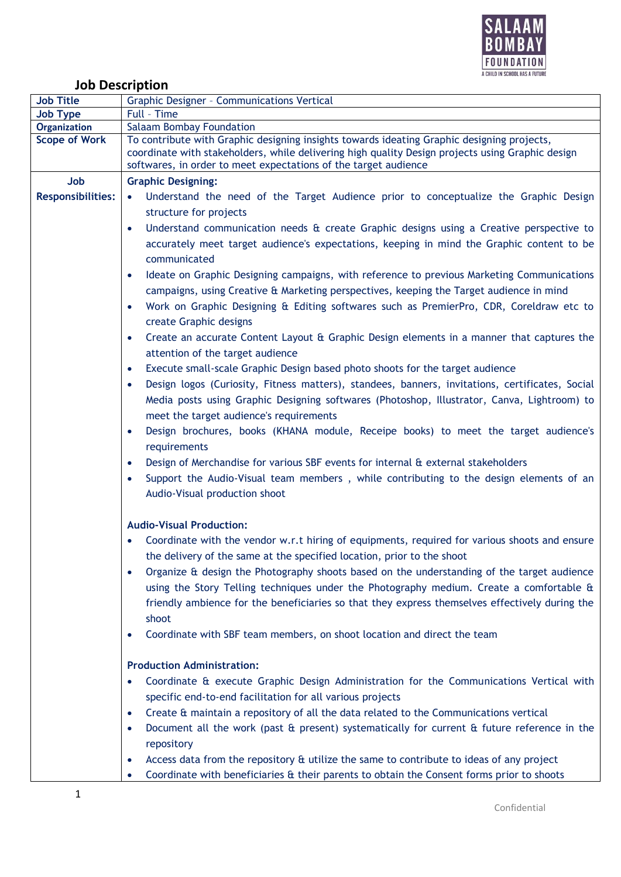

## **Job Description**

| <b>Job Title</b>         | Graphic Designer - Communications Vertical                                                                                                                                                                                                                                                                                                                                                                                                                                                                                                                                                                                                                                                                                                                                                                                                                                                                                                                                                                                                                                                                                                                                                                                                                                                                                                                                                                                                                                                                            |
|--------------------------|-----------------------------------------------------------------------------------------------------------------------------------------------------------------------------------------------------------------------------------------------------------------------------------------------------------------------------------------------------------------------------------------------------------------------------------------------------------------------------------------------------------------------------------------------------------------------------------------------------------------------------------------------------------------------------------------------------------------------------------------------------------------------------------------------------------------------------------------------------------------------------------------------------------------------------------------------------------------------------------------------------------------------------------------------------------------------------------------------------------------------------------------------------------------------------------------------------------------------------------------------------------------------------------------------------------------------------------------------------------------------------------------------------------------------------------------------------------------------------------------------------------------------|
| <b>Job Type</b>          | Full - Time                                                                                                                                                                                                                                                                                                                                                                                                                                                                                                                                                                                                                                                                                                                                                                                                                                                                                                                                                                                                                                                                                                                                                                                                                                                                                                                                                                                                                                                                                                           |
| Organization             | <b>Salaam Bombay Foundation</b>                                                                                                                                                                                                                                                                                                                                                                                                                                                                                                                                                                                                                                                                                                                                                                                                                                                                                                                                                                                                                                                                                                                                                                                                                                                                                                                                                                                                                                                                                       |
| <b>Scope of Work</b>     | To contribute with Graphic designing insights towards ideating Graphic designing projects,<br>coordinate with stakeholders, while delivering high quality Design projects using Graphic design<br>softwares, in order to meet expectations of the target audience                                                                                                                                                                                                                                                                                                                                                                                                                                                                                                                                                                                                                                                                                                                                                                                                                                                                                                                                                                                                                                                                                                                                                                                                                                                     |
| Job                      | <b>Graphic Designing:</b>                                                                                                                                                                                                                                                                                                                                                                                                                                                                                                                                                                                                                                                                                                                                                                                                                                                                                                                                                                                                                                                                                                                                                                                                                                                                                                                                                                                                                                                                                             |
| <b>Responsibilities:</b> | Understand the need of the Target Audience prior to conceptualize the Graphic Design<br>$\bullet$<br>structure for projects<br>Understand communication needs & create Graphic designs using a Creative perspective to<br>accurately meet target audience's expectations, keeping in mind the Graphic content to be<br>communicated<br>Ideate on Graphic Designing campaigns, with reference to previous Marketing Communications<br>$\bullet$<br>campaigns, using Creative & Marketing perspectives, keeping the Target audience in mind<br>Work on Graphic Designing & Editing softwares such as PremierPro, CDR, Coreldraw etc to<br>$\bullet$<br>create Graphic designs<br>Create an accurate Content Layout & Graphic Design elements in a manner that captures the<br>$\bullet$<br>attention of the target audience<br>Execute small-scale Graphic Design based photo shoots for the target audience<br>$\bullet$<br>Design logos (Curiosity, Fitness matters), standees, banners, invitations, certificates, Social<br>Media posts using Graphic Designing softwares (Photoshop, Illustrator, Canva, Lightroom) to<br>meet the target audience's requirements<br>Design brochures, books (KHANA module, Receipe books) to meet the target audience's<br>$\bullet$<br>requirements<br>Design of Merchandise for various SBF events for internal & external stakeholders<br>$\bullet$<br>Support the Audio-Visual team members, while contributing to the design elements of an<br>Audio-Visual production shoot |
|                          | <b>Audio-Visual Production:</b><br>Coordinate with the vendor w.r.t hiring of equipments, required for various shoots and ensure<br>the delivery of the same at the specified location, prior to the shoot<br>Organize & design the Photography shoots based on the understanding of the target audience<br>using the Story Telling techniques under the Photography medium. Create a comfortable &<br>friendly ambience for the beneficiaries so that they express themselves effectively during the<br>shoot<br>Coordinate with SBF team members, on shoot location and direct the team<br><b>Production Administration:</b>                                                                                                                                                                                                                                                                                                                                                                                                                                                                                                                                                                                                                                                                                                                                                                                                                                                                                        |
|                          | Coordinate & execute Graphic Design Administration for the Communications Vertical with<br>specific end-to-end facilitation for all various projects<br>Create & maintain a repository of all the data related to the Communications vertical<br>$\bullet$<br>Document all the work (past $\hat{a}$ present) systematically for current $\hat{a}$ future reference in the<br>$\bullet$<br>repository<br>Access data from the repository & utilize the same to contribute to ideas of any project<br>$\bullet$<br>Coordinate with beneficiaries & their parents to obtain the Consent forms prior to shoots<br>$\bullet$                                                                                                                                                                                                                                                                                                                                                                                                                                                                                                                                                                                                                                                                                                                                                                                                                                                                                               |